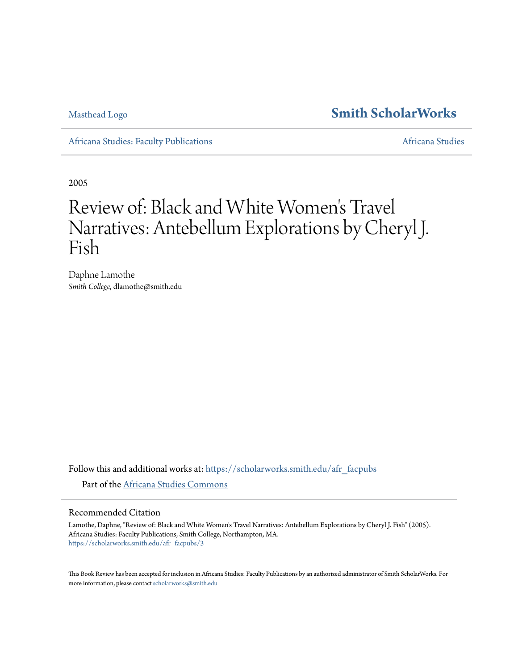### [Masthead Logo](http://www.smith.edu/?utm_source=scholarworks.smith.edu%2Fafr_facpubs%2F3&utm_medium=PDF&utm_campaign=PDFCoverPages) **[Smith ScholarWorks](https://scholarworks.smith.edu?utm_source=scholarworks.smith.edu%2Fafr_facpubs%2F3&utm_medium=PDF&utm_campaign=PDFCoverPages)**

[Africana Studies: Faculty Publications](https://scholarworks.smith.edu/afr_facpubs?utm_source=scholarworks.smith.edu%2Fafr_facpubs%2F3&utm_medium=PDF&utm_campaign=PDFCoverPages) and a studies [Africana Studies](https://scholarworks.smith.edu/afr?utm_source=scholarworks.smith.edu%2Fafr_facpubs%2F3&utm_medium=PDF&utm_campaign=PDFCoverPages) Africana Studies

2005

## Review of: Black and White Women 's Travel Narratives: Antebellum Explorations by Cheryl J. Fish

Daphne Lamothe *Smith College*, dlamothe@smith.edu

Follow this and additional works at: [https://scholarworks.smith.edu/afr\\_facpubs](https://scholarworks.smith.edu/afr_facpubs?utm_source=scholarworks.smith.edu%2Fafr_facpubs%2F3&utm_medium=PDF&utm_campaign=PDFCoverPages) Part of the [Africana Studies Commons](http://network.bepress.com/hgg/discipline/1418?utm_source=scholarworks.smith.edu%2Fafr_facpubs%2F3&utm_medium=PDF&utm_campaign=PDFCoverPages)

### Recommended Citation

Lamothe, Daphne, "Review of: Black and White Women's Travel Narratives: Antebellum Explorations by Cheryl J. Fish" (2005). Africana Studies: Faculty Publications, Smith College, Northampton, MA. [https://scholarworks.smith.edu/afr\\_facpubs/3](https://scholarworks.smith.edu/afr_facpubs/3?utm_source=scholarworks.smith.edu%2Fafr_facpubs%2F3&utm_medium=PDF&utm_campaign=PDFCoverPages)

This Book Review has been accepted for inclusion in Africana Studies: Faculty Publications by an authorized administrator of Smith ScholarWorks. For more information, please contact [scholarworks@smith.edu](mailto:scholarworks@smith.edu)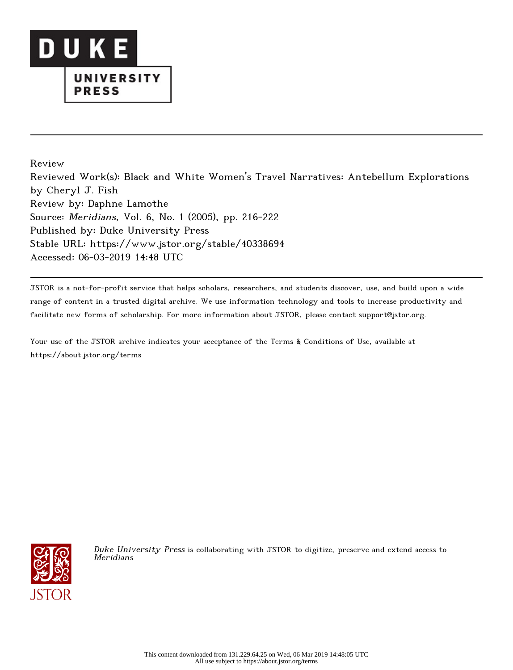# **DUKE** UNIVERSITY

Review

Reviewed Work(s): Black and White Women's Travel Narratives: Antebellum Explorations by Cheryl J. Fish Review by: Daphne Lamothe Source: Meridians, Vol. 6, No. 1 (2005), pp. 216-222 Published by: Duke University Press Stable URL: https://www.jstor.org/stable/40338694 Accessed: 06-03-2019 14:48 UTC

JSTOR is a not-for-profit service that helps scholars, researchers, and students discover, use, and build upon a wide range of content in a trusted digital archive. We use information technology and tools to increase productivity and facilitate new forms of scholarship. For more information about JSTOR, please contact support@jstor.org.

Your use of the JSTOR archive indicates your acceptance of the Terms & Conditions of Use, available at https://about.jstor.org/terms



Duke University Press is collaborating with JSTOR to digitize, preserve and extend access to Meridians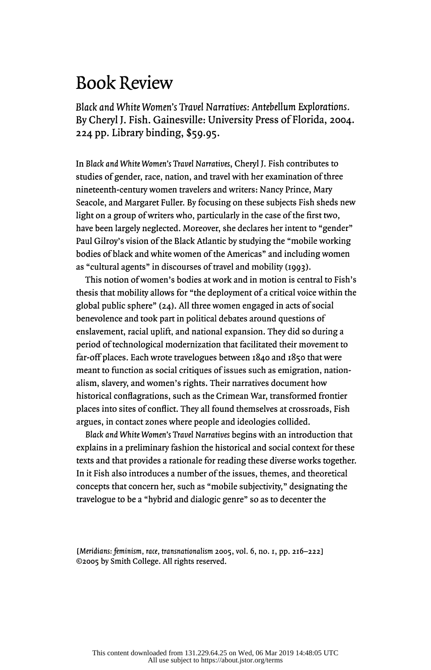## Book Review

 Black and White Women's Travel Narratives: Antebellum Explorations. By Cheryl J. Fish. Gainesville: University Press of Florida, 2004. 224 pp. Library binding, \$59.95.

 In Black and White Women's Travel Narratiues, Cheryl J. Fish contributes to studies of gender, race, nation, and travel with her examination of three nineteenth-century women travelers and writers: Nancy Prince, Mary Seacole, and Margaret Fuller. By focusing on these subjects Fish sheds new light on a group of writers who, particularly in the case of the first two, have been largely neglected. Moreover, she declares her intent to "gender" Paul Gilroy's vision of the Black Atlantic by studying the "mobile working bodies of black and white women of the Americas" and including women as "cultural agents" in discourses of travel and mobility (1993).

 This notion of women's bodies at work and in motion is central to Fish's thesis that mobility allows for "the deployment of a critical voice within the global public sphere" (24). All three women engaged in acts of social benevolence and took part in political debates around questions of enslavement, racial uplift, and national expansion. They did so during a period of technological modernization that facilitated their movement to far-off places. Each wrote travelogues between 1840 and 1850 that were meant to function as social critiques of issues such as emigration, nation alism, slavery, and women's rights. Their narratives document how historical conflagrations, such as the Crimean War, transformed frontier places into sites of conflict. They all found themselves at crossroads, Fish argues, in contact zones where people and ideologies collided.

 Black and White Women's Travel Narratives begins with an introduction that explains in a preliminary fashion the historical and social context for these texts and that provides a rationale for reading these diverse works together. In it Fish also introduces a number of the issues, themes, and theoretical concepts that concern her, such as "mobile subjectivity," designating the travelogue to be a "hybrid and dialogic genre" so as to decenter the

 [Meridians: feminism, race, transnationalism 2005, vol. 6, no. 1, pp. 216-222] ©2005 by Smith College. All rights reserved.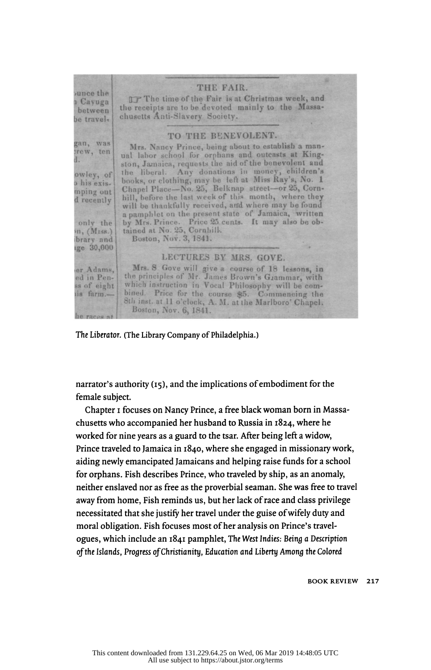| <sub>Junce the</sub><br>1 Cayuga<br>between<br>be travel-                                                                                                                                                         | THE FAIR.<br>IF The time of the Fair is at Christmas week, and<br>the receipts are to be devoted mainly to the Massa-<br>chusetts Anti-Slavery Society.                                                                                                                                                                                                                                                                                                                                                                                                                                                                                    |
|-------------------------------------------------------------------------------------------------------------------------------------------------------------------------------------------------------------------|--------------------------------------------------------------------------------------------------------------------------------------------------------------------------------------------------------------------------------------------------------------------------------------------------------------------------------------------------------------------------------------------------------------------------------------------------------------------------------------------------------------------------------------------------------------------------------------------------------------------------------------------|
| gan, was<br>erew, ten<br>d C<br>owley, of<br>o his exis-<br>mping out<br>d recently<br>only the<br>$m, (M_{158})$<br>brary and<br>ge 30,000<br>er Adams,<br>ed in Pen-<br>ss of eight<br>is farm.-<br>le races at | TO THE BENEVOLENT.<br>Mrs. Nancy Prince, being about to establish a man-<br>ual labor school for orphans and outcasts at King-<br>ston, Jamaica, requests the aid of the benevolent and<br>the liberal. Any donations in money, children's<br>books, or clothing, may be left at Miss Ray's, No. 1<br>Chapel Place-No. 25, Belknap street-or 25, Corn-<br>hill, before the last week of this month, where they<br>will be thankfully received, and where may be found<br>a pamphlet on the present state of Jamaica, written<br>by Mrs. Prince. Price 25 cents. It may also be ob-<br>tained at No. 25, Cornhill.<br>Boston, Nov. 3, 1841. |
|                                                                                                                                                                                                                   | LECTURES BY MRS. GOVE.<br>Mrs. S. Gove will give a course of 18 lessons, in<br>the principles of Mr. James Brown's Grammar, with<br>which instruction in Vocal Philosophy will be com-<br>bined. Price for the course \$5. Commencing the<br>8th inst. at 11 o'clock, A. M. at the Marlboro' Chapel.<br>Boston, Nov. 6, 1841.                                                                                                                                                                                                                                                                                                              |

The Liberator. (The Library Company of Philadelphia.)

 narrator's authority (15), and the implications of embodiment for the female subject.

 Chapter 1 focuses on Nancy Prince, a free black woman born in Massa chusetts who accompanied her husband to Russia in 1824, where he worked for nine years as a guard to the tsar. After being left a widow, Prince traveled to Jamaica in 1840, where she engaged in missionary work, aiding newly emancipated Jamaicans and helping raise funds for a school for orphans. Fish describes Prince, who traveled by ship, as an anomaly, neither enslaved nor as free as the proverbial seaman. She was free to travel away from home, Fish reminds us, but her lack of race and class privilege necessitated that she justify her travel under the guise of wifely duty and moral obligation. Fish focuses most of her analysis on Prince's travel ogues, which include an 1841 pamphlet, The West Indies: Being a Description of the Islands, Progress of Christianity, Education and Liberty Among the Colored

BOOK REVIEW 217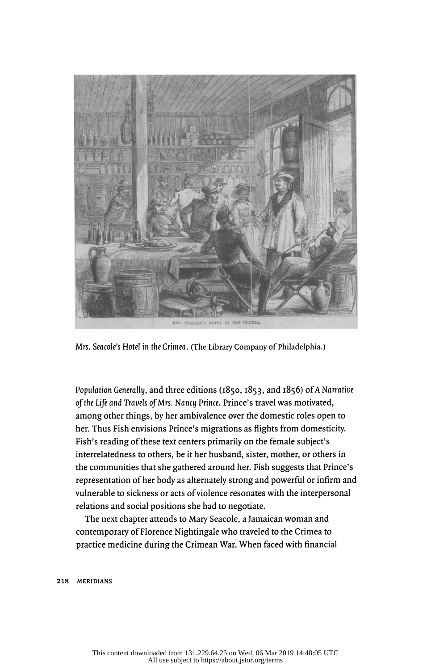

Mrs. Seacole's Hotel in the Crimea. (The Library Company of Philadelphia.)

 Population Generally, and three editions (1850, 1853, and 1856) of A Narrative of the Life and Travels of Mrs. Nancy Prince. Prince's travel was motivated, among other things, by her ambivalence over the domestic roles open to her. Thus Fish envisions Prince's migrations as flights from domesticity. Fish's reading of these text centers primarily on the female subject's interrelatedness to others, be it her husband, sister, mother, or others in the communities that she gathered around her. Fish suggests that Prince's representation of her body as alternately strong and powerful or infirm and vulnerable to sickness or acts of violence resonates with the interpersonal relations and social positions she had to negotiate.

 The next chapter attends to Mary Seacole, a Jamaican woman and contemporary of Florence Nightingale who traveled to the Crimea to practice medicine during the Crimean War. When faced with financial

218 MERIDIANS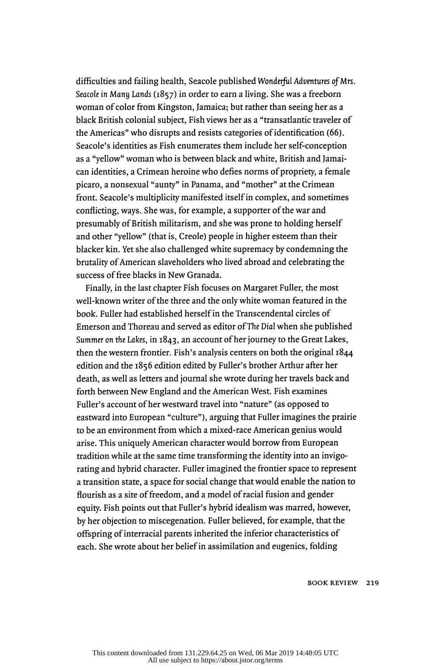difficulties and failing health, Seacole published Wonderful Adventures of Mrs. Seacole in Many Lands (1857) in order to earn a living. She was a freeborn woman of color from Kingston, Jamaica; but rather than seeing her as a black British colonial subject, Fish views her as a "transatlantic traveler of the Americas" who disrupts and resists categories of identification (66). Seacole's identities as Fish enumerates them include her self-conception as a "yellow" woman who is between black and white, British and Jamai can identities, a Crimean heroine who defies norms of propriety, a female picaro, a nonsexual "aunty" in Panama, and "mother" at the Crimean front. Seacole's multiplicity manifested itself in complex, and sometimes conflicting, ways. She was, for example, a supporter of the war and presumably of British militarism, and she was prone to holding herself and other "yellow" (that is, Creole) people in higher esteem than their blacker kin. Yet she also challenged white supremacy by condemning the brutality of American slaveholders who lived abroad and celebrating the success of free blacks in New Granada.

 Finally, in the last chapter Fish focuses on Margaret Fuller, the most well-known writer of the three and the only white woman featured in the book. Fuller had established herself in the Transcendental circles of Emerson and Thoreau and served as editor of The Dial when she published Summer on the Lakes, in 1843, an account of her journey to the Great Lakes, then the western frontier. Fish's analysis centers on both the original 1844 edition and the 1856 edition edited by Fuller's brother Arthur after her death, as well as letters and journal she wrote during her travels back and forth between New England and the American West. Fish examines Fuller's account of her westward travel into "nature" (as opposed to eastward into European "culture"), arguing that Fuller imagines the prairie to be an environment from which a mixed-race American genius would arise. This uniquely American character would borrow from European tradition while at the same time transforming the identity into an invigo rating and hybrid character. Fuller imagined the frontier space to represent a transition state, a space for social change that would enable the nation to flourish as a site of freedom, and a model of racial fusion and gender equity. Fish points out that Fuller's hybrid idealism was marred, however, by her objection to miscegenation. Fuller believed, for example, that the offspring of interracial parents inherited the inferior characteristics of each. She wrote about her belief in assimilation and eugenics, folding

BOOK REVIEW 219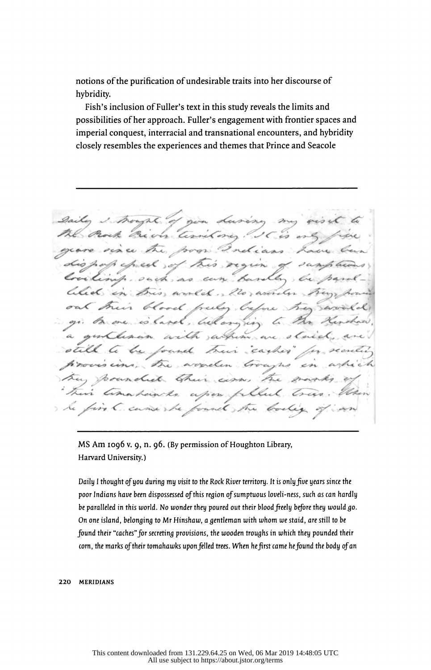notions of the purification of undesirable traits into her discourse of hybridity.

 Fish's inclusion of Fuller's text in this study reveals the limits and possibilities of her approach. Fuller's engagement with frontier spaces and imperial conquest, interracial and transnational encounters, and hybridity closely resembles the experiences and themes that Prince and Seacole

mought of own during Privir times . is only the poor Indians hop check of this region up ouch as can ha lited in this world, no eler Treis blood. beller be Tres wo On one is lared, belonging to  $.91.$ enCleman with arthum are staire  $\mathcal{A}$ found their cacher a) the worden troughs en they pounded their circ, he was Trui Coma her apen llul très  $\mathcal{L}_{\mathfrak{o}}$ re fin C. ca re for  $\epsilon$ .

 MS Am 1096 v. 9, n. 96. (By permission of Houghton Library, Harvard University.)

 Daily I thought of you during my visit to the Rock River territory. It is only five years since the poor Indians have been dispossessed of this region of sumptuous loveli-ness, such as can hardly be paralleled in this world. No wonder they poured out their blood freely before they would go. On one island, belonging to Mr Hinshaw, a gentleman with whom we staid, are still to be found their "caches" for secreting provisions, the wooden troughs in which they pounded their corn, the marks of their tomahawks upon felled trees. When he first came he found the body of an

#### 220 MERIDIANS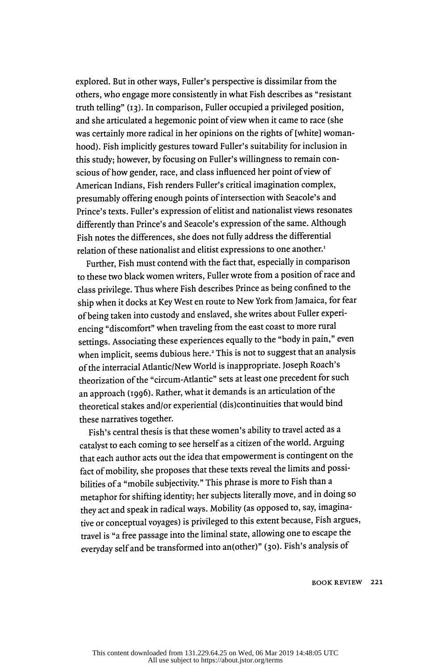explored. But in other ways, Fuller's perspective is dissimilar from the others, who engage more consistently in what Fish describes as "resistant truth telling" (13). In comparison, Fuller occupied a privileged position, and she articulated a hegemonic point of view when it came to race (she was certainly more radical in her opinions on the rights of [white] woman hood). Fish implicitly gestures toward Fuller's suitability for inclusion in this study; however, by focusing on Fuller's willingness to remain con scious of how gender, race, and class influenced her point of view of American Indians, Fish renders Fuller's critical imagination complex, presumably offering enough points of intersection with Seacole's and Prince's texts. Fuller's expression of elitist and nationalist views resonates differently than Prince's and Seacole's expression of the same. Although Fish notes the differences, she does not fully address the differential relation of these nationalist and elitist expressions to one another.<sup>1</sup>

 Further, Fish must contend with the fact that, especially in comparison to these two black women writers, Fuller wrote from a position of race and class privilege. Thus where Fish describes Prince as being confined to the ship when it docks at Key West en route to New York from Jamaica, for fear of being taken into custody and enslaved, she writes about Fuller experi encing "discomfort" when traveling from the east coast to more rural settings. Associating these experiences equally to the "body in pain," even when implicit, seems dubious here.<sup>2</sup> This is not to suggest that an analysis of the interracial Atlantic/New World is inappropriate. Joseph Roach's theorization of the "circum-Atlantic" sets at least one precedent for such an approach (1996). Rather, what it demands is an articulation of the theoretical stakes and/or experiential (dis)continuities that would bind these narratives together.

 Fish's central thesis is that these women's ability to travel acted as a catalyst to each coming to see herself as a citizen of the world. Arguing that each author acts out the idea that empowerment is contingent on the fact of mobility, she proposes that these texts reveal the limits and possi bilities of a "mobile subjectivity." This phrase is more to Fish than a metaphor for shifting identity; her subjects literally move, and in doing so they act and speak in radical ways. Mobility (as opposed to, say, imagina tive or conceptual voyages) is privileged to this extent because, Fish argues, travel is "a free passage into the liminal state, allowing one to escape the everyday self and be transformed into an(other)" (30). Fish's analysis of

BOOK REVIEW 221